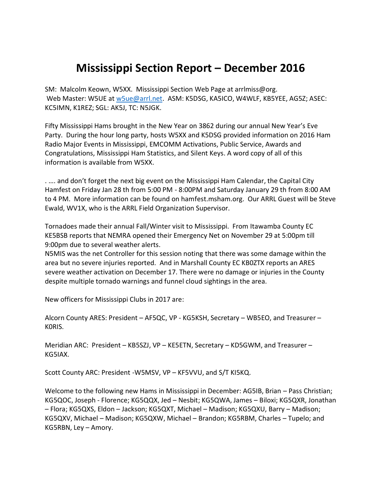## **Mississippi Section Report – December 2016**

SM: Malcolm Keown, W5XX. Mississippi Section Web Page at arrlmiss@org. Web Master: W5UE at [w5ue@arrl.net.](mailto:w5ue@arrl.net) ASM: K5DSG, KA5ICO, W4WLF, KB5YEE, AG5Z; ASEC: KC5IMN, K1REZ; SGL: AK5J, TC: N5JGK.

Fifty Mississippi Hams brought in the New Year on 3862 during our annual New Year's Eve Party. During the hour long party, hosts W5XX and K5DSG provided information on 2016 Ham Radio Major Events in Mississippi, EMCOMM Activations, Public Service, Awards and Congratulations, Mississippi Ham Statistics, and Silent Keys. A word copy of all of this information is available from W5XX.

. …. and don't forget the next big event on the Mississippi Ham Calendar, the Capital City Hamfest on Friday Jan 28 th from 5:00 PM - 8:00PM and Saturday January 29 th from 8:00 AM to 4 PM. More information can be found on hamfest.msham.org. Our ARRL Guest will be Steve Ewald, WV1X, who is the ARRL Field Organization Supervisor.

Tornadoes made their annual Fall/Winter visit to Mississippi. From Itawamba County EC KE5BSB reports that NEMRA opened their Emergency Net on November 29 at 5:00pm till 9:00pm due to several weather alerts.

N5MIS was the net Controller for this session noting that there was some damage within the area but no severe injuries reported. And in Marshall County EC KB0ZTX reports an ARES severe weather activation on December 17. There were no damage or injuries in the County despite multiple tornado warnings and funnel cloud sightings in the area.

New officers for Mississippi Clubs in 2017 are:

Alcorn County ARES: President – AF5QC, VP - KG5KSH, Secretary – WB5EO, and Treasurer – K0RIS.

Meridian ARC: President – KB5SZJ, VP – KE5ETN, Secretary – KD5GWM, and Treasurer – KG5IAX.

Scott County ARC: President -W5MSV, VP – KF5VVU, and S/T KI5KQ.

Welcome to the following new Hams in Mississippi in December: AG5IB, Brian – Pass Christian; KG5QOC, Joseph - Florence; KG5QQX, Jed – Nesbit; KG5QWA, James – Biloxi; KG5QXR, Jonathan – Flora; KG5QXS, Eldon – Jackson; KG5QXT, Michael – Madison; KG5QXU, Barry – Madison; KG5QXV, Michael – Madison; KG5QXW, Michael – Brandon; KG5RBM, Charles – Tupelo; and KG5RBN, Ley – Amory.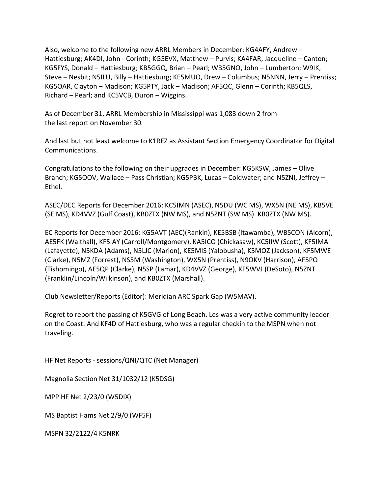Also, welcome to the following new ARRL Members in December: KG4AFY, Andrew – Hattiesburg; AK4DI, John - Corinth; KG5EVX, Matthew – Purvis; KA4FAR, Jacqueline – Canton; KG5FYS, Donald – Hattiesburg; KB5GGQ, Brian – Pearl; WB5GNO, John – Lumberton; W9IK, Steve – Nesbit; N5ILU, Billy – Hattiesburg; KE5MUO, Drew – Columbus; N5NNN, Jerry – Prentiss; KG5OAR, Clayton – Madison; KG5PTY, Jack – Madison; AF5QC, Glenn – Corinth; KB5QLS, Richard – Pearl; and KC5VCB, Duron – Wiggins.

As of December 31, ARRL Membership in Mississippi was 1,083 down 2 from the last report on November 30.

And last but not least welcome to K1REZ as Assistant Section Emergency Coordinator for Digital Communications.

Congratulations to the following on their upgrades in December: KG5KSW, James – Olive Branch; KG5OOV, Wallace – Pass Christian; KG5PBK, Lucas – Coldwater; and N5ZNI, Jeffrey – Ethel.

ASEC/DEC Reports for December 2016: KC5IMN (ASEC), N5DU (WC MS), WX5N (NE MS), KB5VE (SE MS), KD4VVZ (Gulf Coast), KB0ZTX (NW MS), and N5ZNT (SW MS). KB0ZTX (NW MS).

EC Reports for December 2016: KG5AVT (AEC)(Rankin), KE5BSB (Itawamba), WB5CON (Alcorn), AE5FK (Walthall), KF5IAY (Carroll/Montgomery), KA5ICO (Chickasaw), KC5IIW (Scott), KF5IMA (Lafayette), N5KDA (Adams), N5LJC (Marion), KE5MIS (Yalobusha), K5MOZ (Jackson), KF5MWE (Clarke), N5MZ (Forrest), NS5M (Washington), WX5N (Prentiss), N9OKV (Harrison), AF5PO (Tishomingo), AE5QP (Clarke), N5SP (Lamar), KD4VVZ (George), KF5WVJ (DeSoto), N5ZNT (Franklin/Lincoln/Wilkinson), and KB0ZTX (Marshall).

Club Newsletter/Reports (Editor): Meridian ARC Spark Gap (W5MAV).

Regret to report the passing of K5GVG of Long Beach. Les was a very active community leader on the Coast. And KF4D of Hattiesburg, who was a regular checkin to the MSPN when not traveling.

HF Net Reports - sessions/QNI/QTC (Net Manager)

Magnolia Section Net 31/1032/12 (K5DSG)

MPP HF Net 2/23/0 (W5DIX)

MS Baptist Hams Net 2/9/0 (WF5F)

MSPN 32/2122/4 K5NRK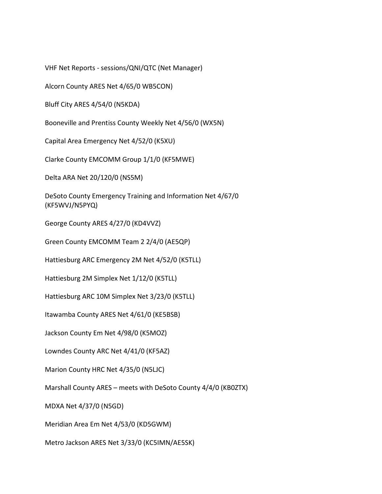VHF Net Reports - sessions/QNI/QTC (Net Manager)

Alcorn County ARES Net 4/65/0 WB5CON)

Bluff City ARES 4/54/0 (N5KDA)

Booneville and Prentiss County Weekly Net 4/56/0 (WX5N)

Capital Area Emergency Net 4/52/0 (K5XU)

Clarke County EMCOMM Group 1/1/0 (KF5MWE)

Delta ARA Net 20/120/0 (NS5M)

DeSoto County Emergency Training and Information Net 4/67/0 (KF5WVJ/N5PYQ)

George County ARES 4/27/0 (KD4VVZ)

Green County EMCOMM Team 2 2/4/0 (AE5QP)

Hattiesburg ARC Emergency 2M Net 4/52/0 (K5TLL)

Hattiesburg 2M Simplex Net 1/12/0 (K5TLL)

Hattiesburg ARC 10M Simplex Net 3/23/0 (K5TLL)

Itawamba County ARES Net 4/61/0 (KE5BSB)

Jackson County Em Net 4/98/0 (K5MOZ)

Lowndes County ARC Net 4/41/0 (KF5AZ)

Marion County HRC Net 4/35/0 (N5LJC)

Marshall County ARES – meets with DeSoto County 4/4/0 (KB0ZTX)

MDXA Net 4/37/0 (N5GD)

Meridian Area Em Net 4/53/0 (KD5GWM)

Metro Jackson ARES Net 3/33/0 (KC5IMN/AE5SK)